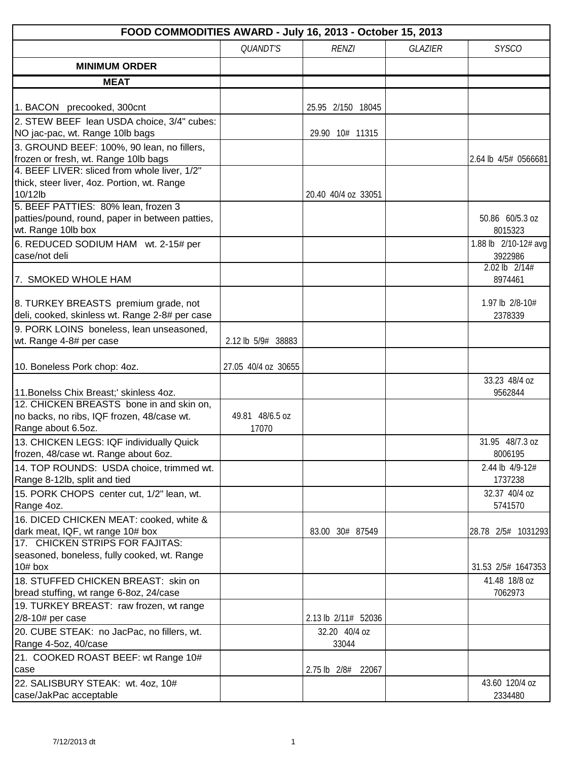| FOOD COMMODITIES AWARD - July 16, 2013 - October 15, 2013                                   |                     |                     |                |                           |
|---------------------------------------------------------------------------------------------|---------------------|---------------------|----------------|---------------------------|
|                                                                                             | QUANDT'S            | <b>RENZI</b>        | <b>GLAZIER</b> | <b>SYSCO</b>              |
| <b>MINIMUM ORDER</b>                                                                        |                     |                     |                |                           |
| <b>MEAT</b>                                                                                 |                     |                     |                |                           |
|                                                                                             |                     |                     |                |                           |
| 1. BACON precooked, 300cnt                                                                  |                     | 25.95 2/150 18045   |                |                           |
| 2. STEW BEEF lean USDA choice, 3/4" cubes:                                                  |                     |                     |                |                           |
| NO jac-pac, wt. Range 10lb bags                                                             |                     | 29.90 10# 11315     |                |                           |
| 3. GROUND BEEF: 100%, 90 lean, no fillers,                                                  |                     |                     |                |                           |
| frozen or fresh, wt. Range 10lb bags                                                        |                     |                     |                | 2.64 lb 4/5# 0566681      |
| 4. BEEF LIVER: sliced from whole liver, 1/2"<br>thick, steer liver, 4oz. Portion, wt. Range |                     |                     |                |                           |
| 10/12lb                                                                                     |                     | 20.40 40/4 oz 33051 |                |                           |
| 5. BEEF PATTIES: 80% lean, frozen 3                                                         |                     |                     |                |                           |
| patties/pound, round, paper in between patties,                                             |                     |                     |                | 50.86 60/5.3 oz           |
| wt. Range 10lb box                                                                          |                     |                     |                | 8015323                   |
| 6. REDUCED SODIUM HAM wt. 2-15# per                                                         |                     |                     |                | 1.88 lb 2/10-12# avg      |
| case/not deli                                                                               |                     |                     |                | 3922986                   |
|                                                                                             |                     |                     |                | 2.02 lb 2/14#             |
| 7. SMOKED WHOLE HAM                                                                         |                     |                     |                | 8974461                   |
| 8. TURKEY BREASTS premium grade, not                                                        |                     |                     |                | 1.97 lb 2/8-10#           |
| deli, cooked, skinless wt. Range 2-8# per case                                              |                     |                     |                | 2378339                   |
| 9. PORK LOINS boneless, lean unseasoned,                                                    |                     |                     |                |                           |
| wt. Range 4-8# per case                                                                     | 2.12 lb 5/9# 38883  |                     |                |                           |
|                                                                                             |                     |                     |                |                           |
| 10. Boneless Pork chop: 4oz.                                                                | 27.05 40/4 oz 30655 |                     |                |                           |
|                                                                                             |                     |                     |                | 33.23 48/4 oz             |
| 11. Bonelss Chix Breast;' skinless 4oz.<br>12. CHICKEN BREASTS bone in and skin on,         |                     |                     |                | 9562844                   |
| no backs, no ribs, IQF frozen, 48/case wt.                                                  | 49.81 48/6.5 oz     |                     |                |                           |
| Range about 6.5oz.                                                                          | 17070               |                     |                |                           |
| 13. CHICKEN LEGS: IQF individually Quick                                                    |                     |                     |                | 31.95 48/7.3 oz           |
| frozen, 48/case wt. Range about 6oz.                                                        |                     |                     |                | 8006195                   |
| 14. TOP ROUNDS: USDA choice, trimmed wt.                                                    |                     |                     |                | 2.44 lb 4/9-12#           |
| Range 8-12lb, split and tied                                                                |                     |                     |                | 1737238                   |
| 15. PORK CHOPS center cut, 1/2" lean, wt.                                                   |                     |                     |                | 32.37 40/4 oz             |
| Range 4oz.                                                                                  |                     |                     |                | 5741570                   |
| 16. DICED CHICKEN MEAT: cooked, white &                                                     |                     |                     |                |                           |
| dark meat, IQF, wt range 10# box<br>17. CHICKEN STRIPS FOR FAJITAS:                         |                     | 83.00 30# 87549     |                | 28.78 2/5# 1031293        |
| seasoned, boneless, fully cooked, wt. Range                                                 |                     |                     |                |                           |
| $10#$ box                                                                                   |                     |                     |                | 31.53 2/5# 1647353        |
| 18. STUFFED CHICKEN BREAST: skin on                                                         |                     |                     |                | 41.48 18/8 oz             |
| bread stuffing, wt range 6-8oz, 24/case                                                     |                     |                     |                | 7062973                   |
| 19. TURKEY BREAST: raw frozen, wt range                                                     |                     |                     |                |                           |
| 2/8-10# per case                                                                            |                     | 2.13 lb 2/11# 52036 |                |                           |
| 20. CUBE STEAK: no JacPac, no fillers, wt.                                                  |                     | 32.20 40/4 oz       |                |                           |
| Range 4-5oz, 40/case                                                                        |                     | 33044               |                |                           |
| 21. COOKED ROAST BEEF: wt Range 10#                                                         |                     |                     |                |                           |
| case                                                                                        |                     | 2.75 lb 2/8# 22067  |                |                           |
| 22. SALISBURY STEAK: wt. 4oz, 10#<br>case/JakPac acceptable                                 |                     |                     |                | 43.60 120/4 oz<br>2334480 |
|                                                                                             |                     |                     |                |                           |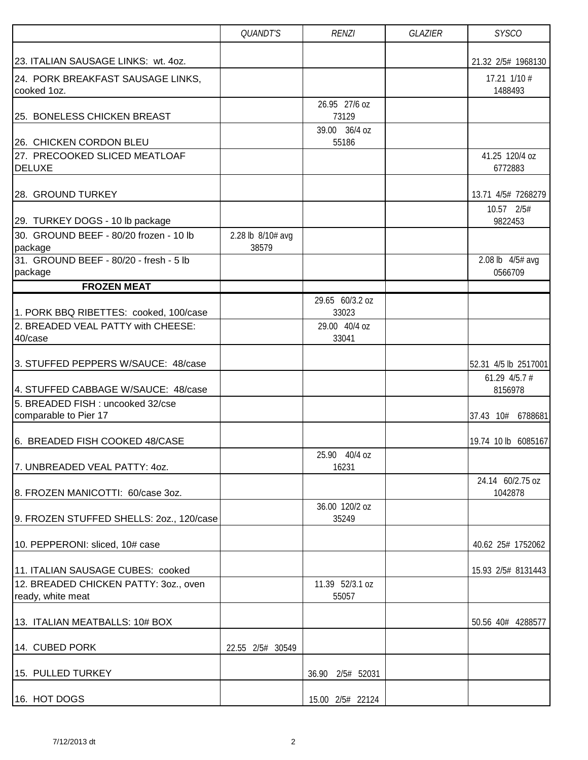|                                                            | <b>QUANDT'S</b>            | <b>RENZI</b>             | <b>GLAZIER</b> | <b>SYSCO</b>                |
|------------------------------------------------------------|----------------------------|--------------------------|----------------|-----------------------------|
| 23. ITALIAN SAUSAGE LINKS: wt. 4oz.                        |                            |                          |                | 21.32 2/5# 1968130          |
| 24. PORK BREAKFAST SAUSAGE LINKS,<br>cooked 1oz.           |                            |                          |                | $17.21$ $1/10$ #<br>1488493 |
| 25. BONELESS CHICKEN BREAST                                |                            | 26.95 27/6 oz<br>73129   |                |                             |
| 26. CHICKEN CORDON BLEU                                    |                            | 39.00 36/4 oz<br>55186   |                |                             |
| 27. PRECOOKED SLICED MEATLOAF<br><b>DELUXE</b>             |                            |                          |                | 41.25 120/4 oz<br>6772883   |
| 28. GROUND TURKEY                                          |                            |                          |                | 13.71 4/5# 7268279          |
| 29. TURKEY DOGS - 10 lb package                            |                            |                          |                | 10.57 2/5#<br>9822453       |
| 30. GROUND BEEF - 80/20 frozen - 10 lb<br>package          | 2.28 lb 8/10# avg<br>38579 |                          |                |                             |
| 31. GROUND BEEF - 80/20 - fresh - 5 lb<br>package          |                            |                          |                | 2.08 lb 4/5# avg<br>0566709 |
| <b>FROZEN MEAT</b>                                         |                            |                          |                |                             |
|                                                            |                            | 29.65 60/3.2 oz          |                |                             |
| 1. PORK BBQ RIBETTES: cooked, 100/case                     |                            | 33023                    |                |                             |
| 2. BREADED VEAL PATTY with CHEESE:<br>40/case              |                            | 29.00 40/4 oz<br>33041   |                |                             |
| 3. STUFFED PEPPERS W/SAUCE: 48/case                        |                            |                          |                | 52.31 4/5 lb 2517001        |
| 4. STUFFED CABBAGE W/SAUCE: 48/case                        |                            |                          |                | 61.29 $4/5.7$ #<br>8156978  |
| 5. BREADED FISH: uncooked 32/cse<br>comparable to Pier 17  |                            |                          |                | 37.43 10#<br>6788681        |
| 6. BREADED FISH COOKED 48/CASE                             |                            |                          |                | 19.74 10 lb 6085167         |
| 7. UNBREADED VEAL PATTY: 40Z.                              |                            | 25.90 40/4 oz<br>16231   |                |                             |
| 8. FROZEN MANICOTTI: 60/case 3oz.                          |                            |                          |                | 24.14 60/2.75 oz<br>1042878 |
| 9. FROZEN STUFFED SHELLS: 20z., 120/case                   |                            | 36.00 120/2 oz<br>35249  |                |                             |
| 10. PEPPERONI: sliced, 10# case                            |                            |                          |                | 40.62 25# 1752062           |
| 11. ITALIAN SAUSAGE CUBES: cooked                          |                            |                          |                | 15.93 2/5# 8131443          |
| 12. BREADED CHICKEN PATTY: 3oz., oven<br>ready, white meat |                            | 11.39 52/3.1 oz<br>55057 |                |                             |
| 13. ITALIAN MEATBALLS: 10# BOX                             |                            |                          |                | 50.56 40# 4288577           |
| 14. CUBED PORK                                             | 22.55 2/5# 30549           |                          |                |                             |
| 15. PULLED TURKEY                                          |                            | 36.90<br>2/5# 52031      |                |                             |
| 16. HOT DOGS                                               |                            | 15.00 2/5# 22124         |                |                             |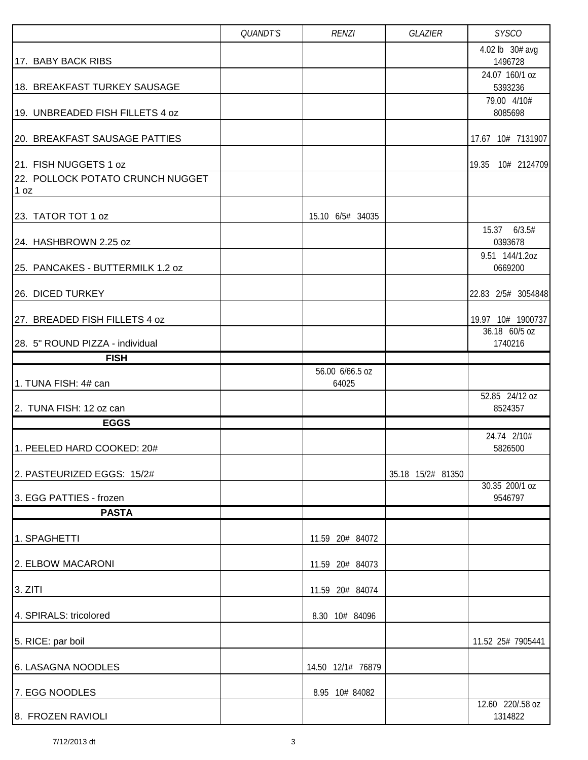|                                                           | <b>QUANDT'S</b> | <b>RENZI</b>             | <b>GLAZIER</b>    | <b>SYSCO</b>                |
|-----------------------------------------------------------|-----------------|--------------------------|-------------------|-----------------------------|
| 17. BABY BACK RIBS                                        |                 |                          |                   | 4.02 lb 30# avg<br>1496728  |
| 18. BREAKFAST TURKEY SAUSAGE                              |                 |                          |                   | 24.07 160/1 oz<br>5393236   |
| 19. UNBREADED FISH FILLETS 4 oz                           |                 |                          |                   | 79.00 4/10#<br>8085698      |
| 20. BREAKFAST SAUSAGE PATTIES                             |                 |                          |                   | 17.67 10# 7131907           |
| 21. FISH NUGGETS 1 oz<br>22. POLLOCK POTATO CRUNCH NUGGET |                 |                          |                   | 19.35 10# 2124709           |
| 1 oz                                                      |                 |                          |                   |                             |
| 23. TATOR TOT 1 oz                                        |                 | 15.10 6/5# 34035         |                   | 15.37 6/3.5#                |
| 24. HASHBROWN 2.25 oz                                     |                 |                          |                   | 0393678                     |
| 25. PANCAKES - BUTTERMILK 1.2 oz                          |                 |                          |                   | 9.51 144/1.2oz<br>0669200   |
| 26. DICED TURKEY                                          |                 |                          |                   | 22.83 2/5# 3054848          |
| 27. BREADED FISH FILLETS 4 oz                             |                 |                          |                   | 19.97 10# 1900737           |
| 28. 5" ROUND PIZZA - individual                           |                 |                          |                   | 36.18 60/5 oz<br>1740216    |
| <b>FISH</b>                                               |                 |                          |                   |                             |
| 1. TUNA FISH: 4# can                                      |                 | 56.00 6/66.5 oz<br>64025 |                   |                             |
| 2. TUNA FISH: 12 oz can                                   |                 |                          |                   | 52.85 24/12 oz<br>8524357   |
| <b>EGGS</b>                                               |                 |                          |                   |                             |
| 1. PEELED HARD COOKED: 20#                                |                 |                          |                   | 24.74 2/10#<br>5826500      |
| 2. PASTEURIZED EGGS: 15/2#                                |                 |                          | 35.18 15/2# 81350 |                             |
| 3. EGG PATTIES - frozen                                   |                 |                          |                   | 30.35 200/1 oz<br>9546797   |
| <b>PASTA</b>                                              |                 |                          |                   |                             |
| 1. SPAGHETTI                                              |                 | 11.59 20# 84072          |                   |                             |
| 2. ELBOW MACARONI                                         |                 | 11.59 20# 84073          |                   |                             |
| 3. ZITI                                                   |                 | 11.59 20# 84074          |                   |                             |
| 4. SPIRALS: tricolored                                    |                 | 8.30 10# 84096           |                   |                             |
| 5. RICE: par boil                                         |                 |                          |                   | 11.52 25# 7905441           |
| 6. LASAGNA NOODLES                                        |                 | 14.50 12/1# 76879        |                   |                             |
| 7. EGG NOODLES                                            |                 | 8.95 10# 84082           |                   |                             |
| 8. FROZEN RAVIOLI                                         |                 |                          |                   | 12.60 220/.58 oz<br>1314822 |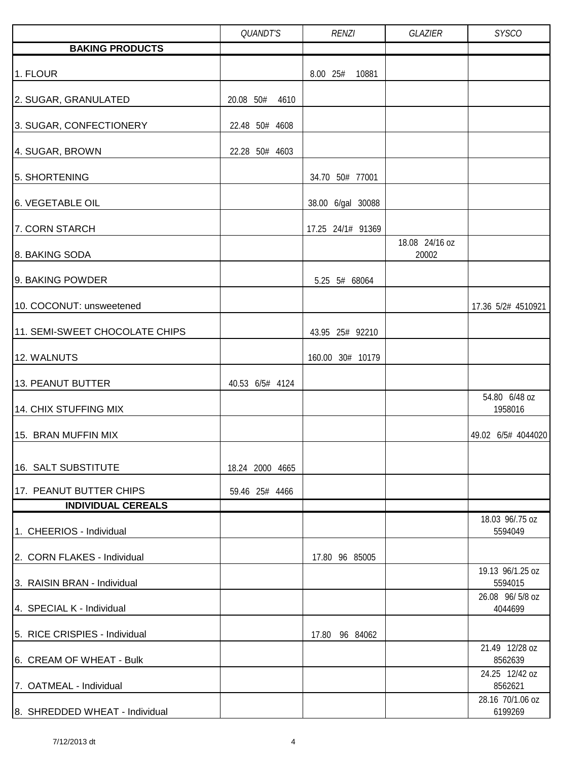|                                | <b>QUANDT'S</b>   | <b>RENZI</b>      | GLAZIER                 | <b>SYSCO</b>                                   |
|--------------------------------|-------------------|-------------------|-------------------------|------------------------------------------------|
| <b>BAKING PRODUCTS</b>         |                   |                   |                         |                                                |
| 1. FLOUR                       |                   | 8.00 25#<br>10881 |                         |                                                |
| 2. SUGAR, GRANULATED           | 20.08 50#<br>4610 |                   |                         |                                                |
| 3. SUGAR, CONFECTIONERY        | 22.48 50# 4608    |                   |                         |                                                |
| 4. SUGAR, BROWN                | 22.28 50# 4603    |                   |                         |                                                |
| 5. SHORTENING                  |                   | 34.70 50# 77001   |                         |                                                |
| <b>6. VEGETABLE OIL</b>        |                   | 38.00 6/gal 30088 |                         |                                                |
| 7. CORN STARCH                 |                   | 17.25 24/1# 91369 |                         |                                                |
| 8. BAKING SODA                 |                   |                   | 18.08 24/16 oz<br>20002 |                                                |
| 9. BAKING POWDER               |                   | 5.25 5# 68064     |                         |                                                |
| 10. COCONUT: unsweetened       |                   |                   |                         | 17.36 5/2# 4510921                             |
| 11. SEMI-SWEET CHOCOLATE CHIPS |                   | 43.95 25# 92210   |                         |                                                |
| 12. WALNUTS                    |                   | 160.00 30# 10179  |                         |                                                |
| 13. PEANUT BUTTER              | 40.53 6/5# 4124   |                   |                         |                                                |
| 14. CHIX STUFFING MIX          |                   |                   |                         | 54.80 6/48 oz<br>1958016                       |
| 15. BRAN MUFFIN MIX            |                   |                   |                         | 49.02 6/5# 4044020                             |
| 16. SALT SUBSTITUTE            | 18.24 2000 4665   |                   |                         |                                                |
| 17. PEANUT BUTTER CHIPS        | 59.46 25# 4466    |                   |                         |                                                |
| <b>INDIVIDUAL CEREALS</b>      |                   |                   |                         |                                                |
| 1. CHEERIOS - Individual       |                   |                   |                         | 18.03 96/.75 oz<br>5594049                     |
| 2. CORN FLAKES - Individual    |                   | 17.80 96 85005    |                         |                                                |
| 3. RAISIN BRAN - Individual    |                   |                   |                         | 19.13 96/1.25 oz<br>5594015<br>26.08 96/5/8 oz |
| 4. SPECIAL K - Individual      |                   |                   |                         | 4044699                                        |
| 5. RICE CRISPIES - Individual  |                   | 17.80 96 84062    |                         |                                                |
| 6. CREAM OF WHEAT - Bulk       |                   |                   |                         | 21.49 12/28 oz<br>8562639                      |
| 7. OATMEAL - Individual        |                   |                   |                         | 24.25 12/42 oz<br>8562621                      |
| 8. SHREDDED WHEAT - Individual |                   |                   |                         | 28.16 70/1.06 oz<br>6199269                    |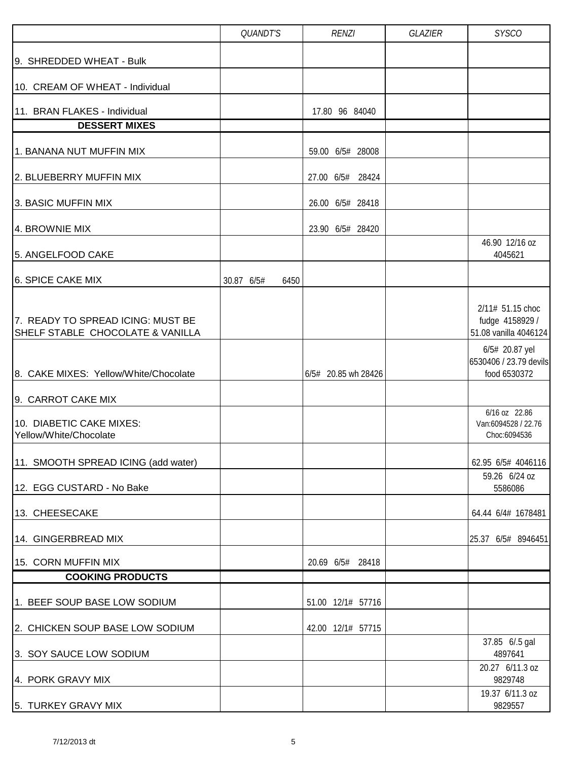|                                                                       | QUANDT'S           | <b>RENZI</b>        | <b>GLAZIER</b> | <b>SYSCO</b>                                                 |
|-----------------------------------------------------------------------|--------------------|---------------------|----------------|--------------------------------------------------------------|
| 9. SHREDDED WHEAT - Bulk                                              |                    |                     |                |                                                              |
| 10. CREAM OF WHEAT - Individual                                       |                    |                     |                |                                                              |
| 11. BRAN FLAKES - Individual                                          |                    | 17.80 96 84040      |                |                                                              |
| <b>DESSERT MIXES</b>                                                  |                    |                     |                |                                                              |
| 1. BANANA NUT MUFFIN MIX                                              |                    | 59.00 6/5# 28008    |                |                                                              |
| 2. BLUEBERRY MUFFIN MIX                                               |                    | 27.00 6/5# 28424    |                |                                                              |
| 3. BASIC MUFFIN MIX                                                   |                    | 26.00 6/5# 28418    |                |                                                              |
| 4. BROWNIE MIX                                                        |                    | 23.90 6/5# 28420    |                |                                                              |
| 5. ANGELFOOD CAKE                                                     |                    |                     |                | 46.90 12/16 oz<br>4045621                                    |
| 6. SPICE CAKE MIX                                                     | 30.87 6/5#<br>6450 |                     |                |                                                              |
| 7. READY TO SPREAD ICING: MUST BE<br>SHELF STABLE CHOCOLATE & VANILLA |                    |                     |                | 2/11# 51.15 choc<br>fudge 4158929 /<br>51.08 vanilla 4046124 |
| 8. CAKE MIXES: Yellow/White/Chocolate                                 |                    | 6/5# 20.85 wh 28426 |                | 6/5# 20.87 yel<br>6530406 / 23.79 devils<br>food 6530372     |
| 9. CARROT CAKE MIX                                                    |                    |                     |                |                                                              |
| 10. DIABETIC CAKE MIXES:<br>Yellow/White/Chocolate                    |                    |                     |                | 6/16 oz 22.86<br>Van:6094528 / 22.76<br>Choc:6094536         |
| 11. SMOOTH SPREAD ICING (add water)                                   |                    |                     |                | 62.95 6/5# 4046116                                           |
| 12. EGG CUSTARD - No Bake                                             |                    |                     |                | 59.26 6/24 oz<br>5586086                                     |
| 13. CHEESECAKE                                                        |                    |                     |                | 64.44 6/4# 1678481                                           |
| 14. GINGERBREAD MIX                                                   |                    |                     |                | 25.37 6/5# 8946451                                           |
| 15. CORN MUFFIN MIX                                                   |                    | 20.69 6/5# 28418    |                |                                                              |
| <b>COOKING PRODUCTS</b>                                               |                    |                     |                |                                                              |
| 1. BEEF SOUP BASE LOW SODIUM                                          |                    | 51.00 12/1# 57716   |                |                                                              |
| 2. CHICKEN SOUP BASE LOW SODIUM                                       |                    | 42.00 12/1# 57715   |                |                                                              |
| 3. SOY SAUCE LOW SODIUM                                               |                    |                     |                | 37.85 6/.5 gal<br>4897641                                    |
| 4. PORK GRAVY MIX                                                     |                    |                     |                | 20.27 6/11.3 oz<br>9829748                                   |
| 5. TURKEY GRAVY MIX                                                   |                    |                     |                | 19.37 6/11.3 oz<br>9829557                                   |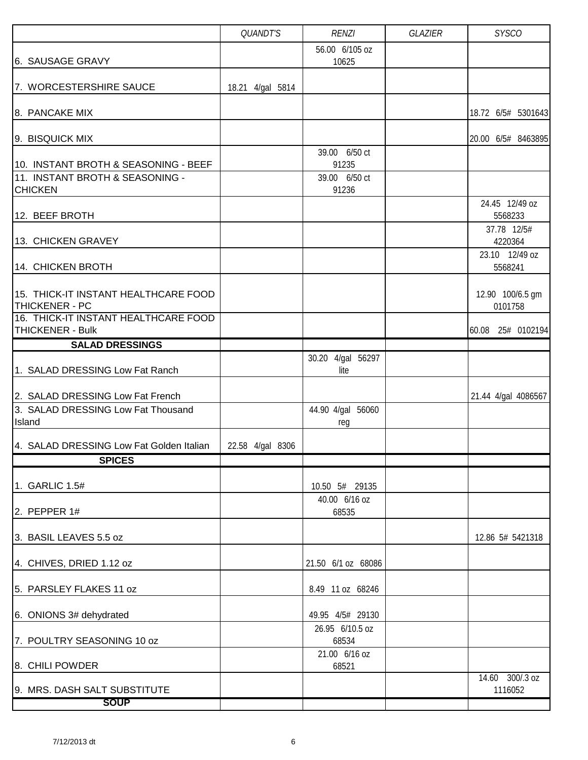|                                                                                                       | <b>QUANDT'S</b>  | <b>RENZI</b>                    | <b>GLAZIER</b> | <b>SYSCO</b>                |
|-------------------------------------------------------------------------------------------------------|------------------|---------------------------------|----------------|-----------------------------|
| 6. SAUSAGE GRAVY                                                                                      |                  | 56.00 6/105 oz<br>10625         |                |                             |
| 7. WORCESTERSHIRE SAUCE                                                                               | 18.21 4/gal 5814 |                                 |                |                             |
| 8. PANCAKE MIX                                                                                        |                  |                                 |                | 18.72 6/5# 5301643          |
| 9. BISQUICK MIX                                                                                       |                  |                                 |                | 20.00 6/5# 8463895          |
| 10. INSTANT BROTH & SEASONING - BEEF                                                                  |                  | 39.00 6/50 ct<br>91235          |                |                             |
| 11. INSTANT BROTH & SEASONING -<br><b>CHICKEN</b>                                                     |                  | 39.00 6/50 ct<br>91236          |                |                             |
| 12. BEEF BROTH                                                                                        |                  |                                 |                | 24.45 12/49 oz<br>5568233   |
| 13. CHICKEN GRAVEY                                                                                    |                  |                                 |                | 37.78 12/5#<br>4220364      |
| 14. CHICKEN BROTH                                                                                     |                  |                                 |                | 23.10 12/49 oz<br>5568241   |
| 15. THICK-IT INSTANT HEALTHCARE FOOD<br><b>THICKENER - PC</b><br>16. THICK-IT INSTANT HEALTHCARE FOOD |                  |                                 |                | 12.90 100/6.5 gm<br>0101758 |
| <b>THICKENER - Bulk</b><br><b>SALAD DRESSINGS</b>                                                     |                  |                                 |                | 60.08 25# 0102194           |
|                                                                                                       |                  | 30.20 4/gal 56297               |                |                             |
| 1. SALAD DRESSING Low Fat Ranch                                                                       |                  | lite                            |                |                             |
| 2. SALAD DRESSING Low Fat French                                                                      |                  |                                 |                | 21.44 4/gal 4086567         |
| 3. SALAD DRESSING Low Fat Thousand<br>Island                                                          |                  | 44.90 4/gal 56060<br>reg        |                |                             |
| 4. SALAD DRESSING Low Fat Golden Italian                                                              | 22.58 4/gal 8306 |                                 |                |                             |
| <b>SPICES</b>                                                                                         |                  |                                 |                |                             |
| 1. GARLIC 1.5#                                                                                        |                  | 10.50 5# 29135<br>40.00 6/16 oz |                |                             |
| 2. PEPPER $1#$                                                                                        |                  | 68535                           |                |                             |
| 3. BASIL LEAVES 5.5 oz                                                                                |                  |                                 |                | 12.86 5# 5421318            |
| 4. CHIVES, DRIED 1.12 oz                                                                              |                  | 21.50 6/1 oz 68086              |                |                             |
| 5. PARSLEY FLAKES 11 oz                                                                               |                  | 8.49 11 oz 68246                |                |                             |
| 6. ONIONS 3# dehydrated                                                                               |                  | 49.95 4/5# 29130                |                |                             |
| 7. POULTRY SEASONING 10 oz                                                                            |                  | 26.95 6/10.5 oz<br>68534        |                |                             |
| 8. CHILI POWDER                                                                                       |                  | 21.00 6/16 oz<br>68521          |                | 14.60 300/.3 oz             |
| 9. MRS. DASH SALT SUBSTITUTE                                                                          |                  |                                 |                | 1116052                     |
| <b>SOUP</b>                                                                                           |                  |                                 |                |                             |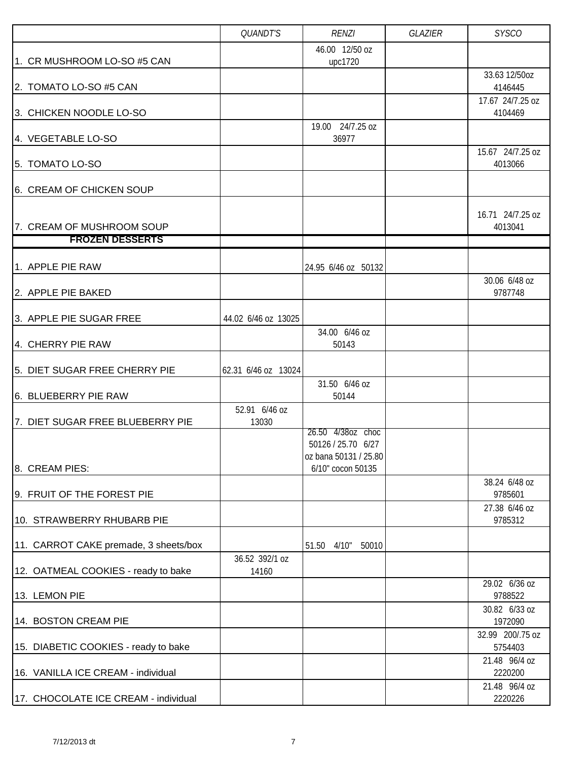|                                       | QUANDT'S               | <b>RENZI</b>                                | <b>GLAZIER</b> | <b>SYSCO</b>                |
|---------------------------------------|------------------------|---------------------------------------------|----------------|-----------------------------|
| 1. CR MUSHROOM LO-SO #5 CAN           |                        | 46.00 12/50 oz                              |                |                             |
|                                       |                        | upc1720                                     |                | 33.63 12/50oz               |
| 2. TOMATO LO-SO #5 CAN                |                        |                                             |                | 4146445                     |
| 3. CHICKEN NOODLE LO-SO               |                        |                                             |                | 17.67 24/7.25 oz<br>4104469 |
|                                       |                        | 19.00 24/7.25 oz                            |                |                             |
| 4. VEGETABLE LO-SO                    |                        | 36977                                       |                | 15.67 24/7.25 oz            |
| 5. TOMATO LO-SO                       |                        |                                             |                | 4013066                     |
| 6. CREAM OF CHICKEN SOUP              |                        |                                             |                |                             |
|                                       |                        |                                             |                | 16.71 24/7.25 oz            |
| 7. CREAM OF MUSHROOM SOUP             |                        |                                             |                | 4013041                     |
| <b>FROZEN DESSERTS</b>                |                        |                                             |                |                             |
| 1. APPLE PIE RAW                      |                        | 24.95 6/46 oz 50132                         |                |                             |
| 2. APPLE PIE BAKED                    |                        |                                             |                | 30.06 6/48 oz<br>9787748    |
|                                       | 44.02 6/46 oz 13025    |                                             |                |                             |
| 3. APPLE PIE SUGAR FREE               |                        | 34.00 6/46 oz                               |                |                             |
| 4. CHERRY PIE RAW                     |                        | 50143                                       |                |                             |
| 5. DIET SUGAR FREE CHERRY PIE         | 62.31 6/46 oz 13024    |                                             |                |                             |
| 6. BLUEBERRY PIE RAW                  |                        | 31.50 6/46 oz<br>50144                      |                |                             |
|                                       | 52.91 6/46 oz<br>13030 |                                             |                |                             |
| 7. DIET SUGAR FREE BLUEBERRY PIE      |                        | 26.50 4/38oz choc                           |                |                             |
|                                       |                        | 50126 / 25.70 6/27<br>oz bana 50131 / 25.80 |                |                             |
| 8. CREAM PIES:                        |                        | 6/10" cocon 50135                           |                |                             |
|                                       |                        |                                             |                | 38.24 6/48 oz               |
| 9. FRUIT OF THE FOREST PIE            |                        |                                             |                | 9785601<br>27.38 6/46 oz    |
| 10. STRAWBERRY RHUBARB PIE            |                        |                                             |                | 9785312                     |
| 11. CARROT CAKE premade, 3 sheets/box |                        | 51.50<br>4/10"<br>50010                     |                |                             |
|                                       | 36.52 392/1 oz         |                                             |                |                             |
| 12. OATMEAL COOKIES - ready to bake   | 14160                  |                                             |                | 29.02 6/36 oz               |
| 13. LEMON PIE                         |                        |                                             |                | 9788522                     |
| 14. BOSTON CREAM PIE                  |                        |                                             |                | 30.82 6/33 oz<br>1972090    |
| 15. DIABETIC COOKIES - ready to bake  |                        |                                             |                | 32.99 200/.75 oz<br>5754403 |
| 16. VANILLA ICE CREAM - individual    |                        |                                             |                | 21.48 96/4 oz<br>2220200    |
| 17. CHOCOLATE ICE CREAM - individual  |                        |                                             |                | 21.48 96/4 oz<br>2220226    |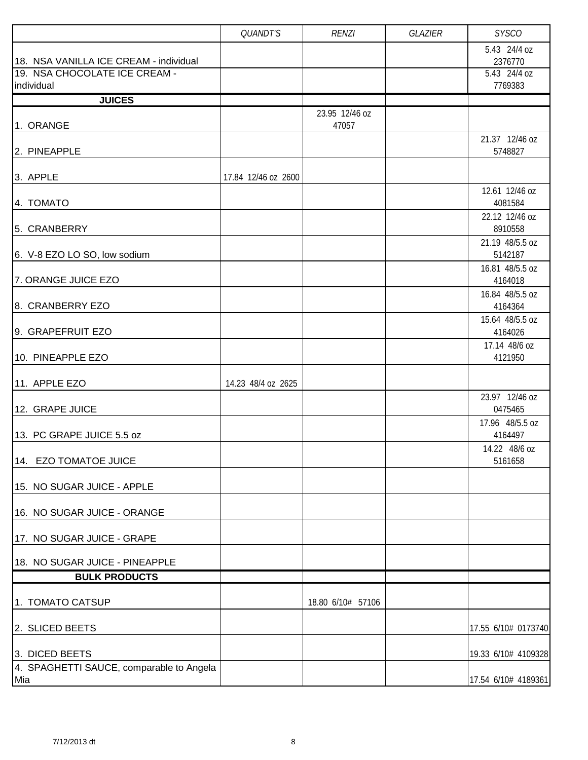|                                                                         | QUANDT'S            | <b>RENZI</b>            | <b>GLAZIER</b> | <b>SYSCO</b>               |
|-------------------------------------------------------------------------|---------------------|-------------------------|----------------|----------------------------|
|                                                                         |                     |                         |                | 5.43 24/4 oz               |
| 18. NSA VANILLA ICE CREAM - individual<br>19. NSA CHOCOLATE ICE CREAM - |                     |                         |                | 2376770<br>5.43 24/4 oz    |
| individual                                                              |                     |                         |                | 7769383                    |
| <b>JUICES</b>                                                           |                     |                         |                |                            |
| 1. ORANGE                                                               |                     | 23.95 12/46 oz<br>47057 |                |                            |
| 2. PINEAPPLE                                                            |                     |                         |                | 21.37 12/46 oz<br>5748827  |
| 3. APPLE                                                                | 17.84 12/46 oz 2600 |                         |                |                            |
| 4. TOMATO                                                               |                     |                         |                | 12.61 12/46 oz<br>4081584  |
| 5. CRANBERRY                                                            |                     |                         |                | 22.12 12/46 oz<br>8910558  |
| 6. V-8 EZO LO SO, low sodium                                            |                     |                         |                | 21.19 48/5.5 oz<br>5142187 |
| 7. ORANGE JUICE EZO                                                     |                     |                         |                | 16.81 48/5.5 oz<br>4164018 |
| 8. CRANBERRY EZO                                                        |                     |                         |                | 16.84 48/5.5 oz<br>4164364 |
| 9. GRAPEFRUIT EZO                                                       |                     |                         |                | 15.64 48/5.5 oz<br>4164026 |
| 10. PINEAPPLE EZO                                                       |                     |                         |                | 17.14 48/6 oz<br>4121950   |
| 11. APPLE EZO                                                           | 14.23 48/4 oz 2625  |                         |                |                            |
| 12. GRAPE JUICE                                                         |                     |                         |                | 23.97 12/46 oz<br>0475465  |
| 13. PC GRAPE JUICE 5.5 oz                                               |                     |                         |                | 17.96 48/5.5 oz<br>4164497 |
| 14. EZO TOMATOE JUICE                                                   |                     |                         |                | 14.22 48/6 oz<br>5161658   |
| 15. NO SUGAR JUICE - APPLE                                              |                     |                         |                |                            |
| 16. NO SUGAR JUICE - ORANGE                                             |                     |                         |                |                            |
| 17. NO SUGAR JUICE - GRAPE                                              |                     |                         |                |                            |
| 18. NO SUGAR JUICE - PINEAPPLE                                          |                     |                         |                |                            |
| <b>BULK PRODUCTS</b>                                                    |                     |                         |                |                            |
| 1. TOMATO CATSUP                                                        |                     | 18.80 6/10# 57106       |                |                            |
| 2. SLICED BEETS                                                         |                     |                         |                | 17.55 6/10# 0173740        |
| 3. DICED BEETS                                                          |                     |                         |                | 19.33 6/10# 4109328        |
| 4. SPAGHETTI SAUCE, comparable to Angela<br>Mia                         |                     |                         |                | 17.54 6/10# 4189361        |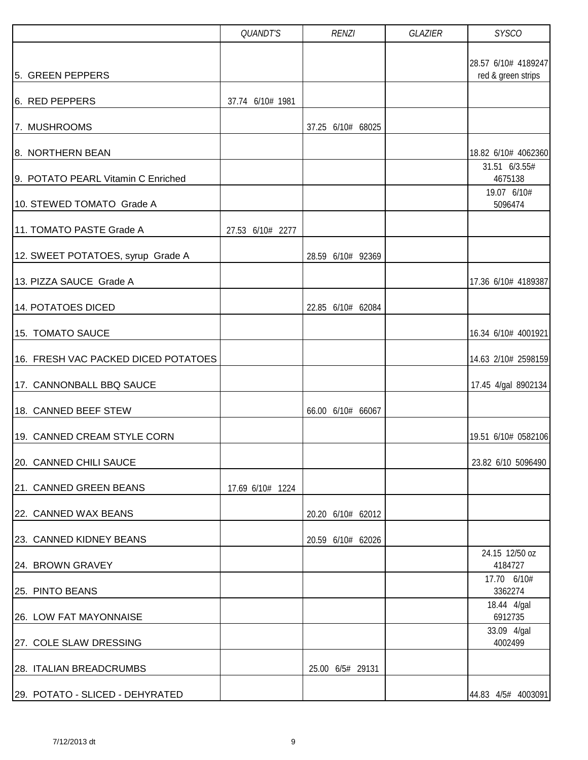|                                     | <b>QUANDT'S</b>  | <b>RENZI</b>      | GLAZIER | <b>SYSCO</b>                          |
|-------------------------------------|------------------|-------------------|---------|---------------------------------------|
|                                     |                  |                   |         | 28.57 6/10# 4189247                   |
| 5. GREEN PEPPERS                    |                  |                   |         | red & green strips                    |
| 6. RED PEPPERS                      | 37.74 6/10# 1981 |                   |         |                                       |
| 7. MUSHROOMS                        |                  | 37.25 6/10# 68025 |         |                                       |
| 8. NORTHERN BEAN                    |                  |                   |         | 18.82 6/10# 4062360                   |
| 9. POTATO PEARL Vitamin C Enriched  |                  |                   |         | 31.51 6/3.55#<br>4675138              |
| 10. STEWED TOMATO Grade A           |                  |                   |         | 19.07 6/10#<br>5096474                |
| 11. TOMATO PASTE Grade A            | 27.53 6/10# 2277 |                   |         |                                       |
| 12. SWEET POTATOES, syrup Grade A   |                  | 28.59 6/10# 92369 |         |                                       |
| 13. PIZZA SAUCE Grade A             |                  |                   |         | 17.36 6/10# 4189387                   |
| 14. POTATOES DICED                  |                  | 22.85 6/10# 62084 |         |                                       |
| 15. TOMATO SAUCE                    |                  |                   |         | 16.34 6/10# 4001921                   |
| 16. FRESH VAC PACKED DICED POTATOES |                  |                   |         | 14.63 2/10# 2598159                   |
| 17. CANNONBALL BBQ SAUCE            |                  |                   |         | 17.45 4/gal 8902134                   |
| 18. CANNED BEEF STEW                |                  | 66.00 6/10# 66067 |         |                                       |
| 19. CANNED CREAM STYLE CORN         |                  |                   |         | 19.51 6/10# 0582106                   |
| 20. CANNED CHILI SAUCE              |                  |                   |         | 23.82 6/10 5096490                    |
| 21. CANNED GREEN BEANS              | 17.69 6/10# 1224 |                   |         |                                       |
| 22. CANNED WAX BEANS                |                  | 20.20 6/10# 62012 |         |                                       |
| 23. CANNED KIDNEY BEANS             |                  | 20.59 6/10# 62026 |         |                                       |
| 24. BROWN GRAVEY                    |                  |                   |         | 24.15 12/50 oz<br>4184727             |
| 25. PINTO BEANS                     |                  |                   |         | 17.70 6/10#<br>3362274                |
| 26. LOW FAT MAYONNAISE              |                  |                   |         | 18.44 4/gal<br>6912735<br>33.09 4/gal |
| 27. COLE SLAW DRESSING              |                  |                   |         | 4002499                               |
| 28. ITALIAN BREADCRUMBS             |                  | 25.00 6/5# 29131  |         |                                       |
| 29. POTATO - SLICED - DEHYRATED     |                  |                   |         | 44.83 4/5# 4003091                    |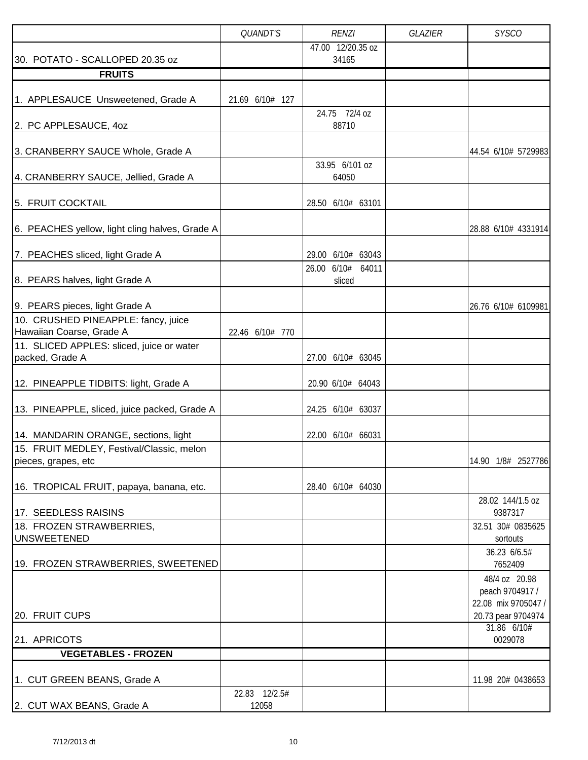|                                                                  | QUANDT'S               | <b>RENZI</b>                | <b>GLAZIER</b> | <b>SYSCO</b>                                            |
|------------------------------------------------------------------|------------------------|-----------------------------|----------------|---------------------------------------------------------|
|                                                                  |                        | 47.00 12/20.35 oz           |                |                                                         |
| 30. POTATO - SCALLOPED 20.35 oz                                  |                        | 34165                       |                |                                                         |
| <b>FRUITS</b>                                                    |                        |                             |                |                                                         |
| 1. APPLESAUCE Unsweetened, Grade A                               | 21.69 6/10# 127        |                             |                |                                                         |
| 2. PC APPLESAUCE, 40Z                                            |                        | 24.75 72/4 oz<br>88710      |                |                                                         |
| 3. CRANBERRY SAUCE Whole, Grade A                                |                        | 33.95 6/101 oz              |                | 44.54 6/10# 5729983                                     |
| 4. CRANBERRY SAUCE, Jellied, Grade A                             |                        | 64050                       |                |                                                         |
| 5. FRUIT COCKTAIL                                                |                        | 28.50 6/10# 63101           |                |                                                         |
| 6. PEACHES yellow, light cling halves, Grade A                   |                        |                             |                | 28.88 6/10# 4331914                                     |
| 7. PEACHES sliced, light Grade A                                 |                        | 29.00 6/10# 63043           |                |                                                         |
| 8. PEARS halves, light Grade A                                   |                        | 26.00 6/10# 64011<br>sliced |                |                                                         |
| 9. PEARS pieces, light Grade A                                   |                        |                             |                | 26.76 6/10# 6109981                                     |
| 10. CRUSHED PINEAPPLE: fancy, juice<br>Hawaiian Coarse, Grade A  | 22.46 6/10# 770        |                             |                |                                                         |
| 11. SLICED APPLES: sliced, juice or water                        |                        |                             |                |                                                         |
| packed, Grade A                                                  |                        | 27.00 6/10# 63045           |                |                                                         |
| 12. PINEAPPLE TIDBITS: light, Grade A                            |                        | 20.90 6/10# 64043           |                |                                                         |
| 13. PINEAPPLE, sliced, juice packed, Grade A                     |                        | 24.25 6/10# 63037           |                |                                                         |
| 14. MANDARIN ORANGE, sections, light                             |                        | 22.00 6/10# 66031           |                |                                                         |
| 15. FRUIT MEDLEY, Festival/Classic, melon<br>pieces, grapes, etc |                        |                             |                | 14.90  1/8#  2527786                                    |
|                                                                  |                        |                             |                |                                                         |
| 16. TROPICAL FRUIT, papaya, banana, etc.                         |                        | 28.40 6/10# 64030           |                | 28.02 144/1.5 oz                                        |
| 17. SEEDLESS RAISINS                                             |                        |                             |                | 9387317                                                 |
| 18. FROZEN STRAWBERRIES,<br><b>UNSWEETENED</b>                   |                        |                             |                | 32.51 30# 0835625<br>sortouts                           |
| 19. FROZEN STRAWBERRIES, SWEETENED                               |                        |                             |                | 36.23 6/6.5#<br>7652409                                 |
|                                                                  |                        |                             |                | 48/4 oz 20.98<br>peach 9704917 /<br>22.08 mix 9705047 / |
| 20. FRUIT CUPS                                                   |                        |                             |                | 20.73 pear 9704974                                      |
| 21. APRICOTS                                                     |                        |                             |                | 31.86 6/10#<br>0029078                                  |
| <b>VEGETABLES - FROZEN</b>                                       |                        |                             |                |                                                         |
| 1. CUT GREEN BEANS, Grade A                                      |                        |                             |                | 11.98 20# 0438653                                       |
| 2. CUT WAX BEANS, Grade A                                        | 22.83 12/2.5#<br>12058 |                             |                |                                                         |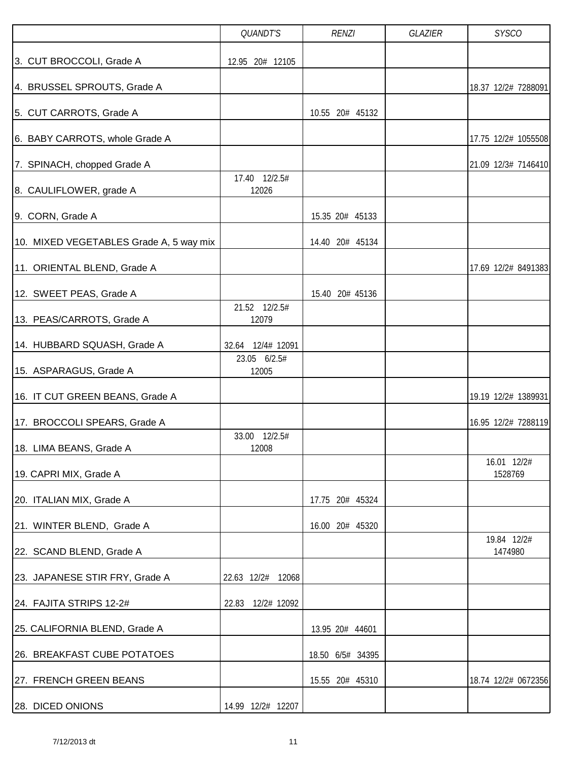|                                         | QUANDT'S               | <b>RENZI</b>     | GLAZIER | <b>SYSCO</b>           |
|-----------------------------------------|------------------------|------------------|---------|------------------------|
| 3. CUT BROCCOLI, Grade A                | 12.95 20# 12105        |                  |         |                        |
| 4. BRUSSEL SPROUTS, Grade A             |                        |                  |         | 18.37 12/2# 7288091    |
| 5. CUT CARROTS, Grade A                 |                        | 10.55 20# 45132  |         |                        |
| 6. BABY CARROTS, whole Grade A          |                        |                  |         | 17.75 12/2# 1055508    |
| 7. SPINACH, chopped Grade A             |                        |                  |         | 21.09 12/3# 7146410    |
| 8. CAULIFLOWER, grade A                 | 17.40 12/2.5#<br>12026 |                  |         |                        |
| 9. CORN, Grade A                        |                        | 15.35 20# 45133  |         |                        |
| 10. MIXED VEGETABLES Grade A, 5 way mix |                        | 14.40 20# 45134  |         |                        |
| 11. ORIENTAL BLEND, Grade A             |                        |                  |         | 17.69 12/2# 8491383    |
| 12. SWEET PEAS, Grade A                 |                        | 15.40 20# 45136  |         |                        |
| 13. PEAS/CARROTS, Grade A               | 21.52 12/2.5#<br>12079 |                  |         |                        |
| 14. HUBBARD SQUASH, Grade A             | 12/4# 12091<br>32.64   |                  |         |                        |
| 15. ASPARAGUS, Grade A                  | 23.05 6/2.5#<br>12005  |                  |         |                        |
| 16. IT CUT GREEN BEANS, Grade A         |                        |                  |         | 19.19 12/2# 1389931    |
| 17. BROCCOLI SPEARS, Grade A            |                        |                  |         | 16.95 12/2# 7288119    |
| 18. LIMA BEANS, Grade A                 | 33.00 12/2.5#<br>12008 |                  |         |                        |
| 19. CAPRI MIX, Grade A                  |                        |                  |         | 16.01 12/2#<br>1528769 |
| 20. ITALIAN MIX, Grade A                |                        | 17.75 20# 45324  |         |                        |
| 21. WINTER BLEND, Grade A               |                        | 16.00 20# 45320  |         |                        |
| 22. SCAND BLEND, Grade A                |                        |                  |         | 19.84 12/2#<br>1474980 |
| 23. JAPANESE STIR FRY, Grade A          | 22.63 12/2#<br>12068   |                  |         |                        |
| 24. FAJITA STRIPS 12-2#                 | 12/2# 12092<br>22.83   |                  |         |                        |
| 25. CALIFORNIA BLEND, Grade A           |                        | 13.95 20# 44601  |         |                        |
| 26. BREAKFAST CUBE POTATOES             |                        | 18.50 6/5# 34395 |         |                        |
| 27. FRENCH GREEN BEANS                  |                        | 15.55 20# 45310  |         | 18.74 12/2# 0672356    |
| 28. DICED ONIONS                        | 14.99 12/2# 12207      |                  |         |                        |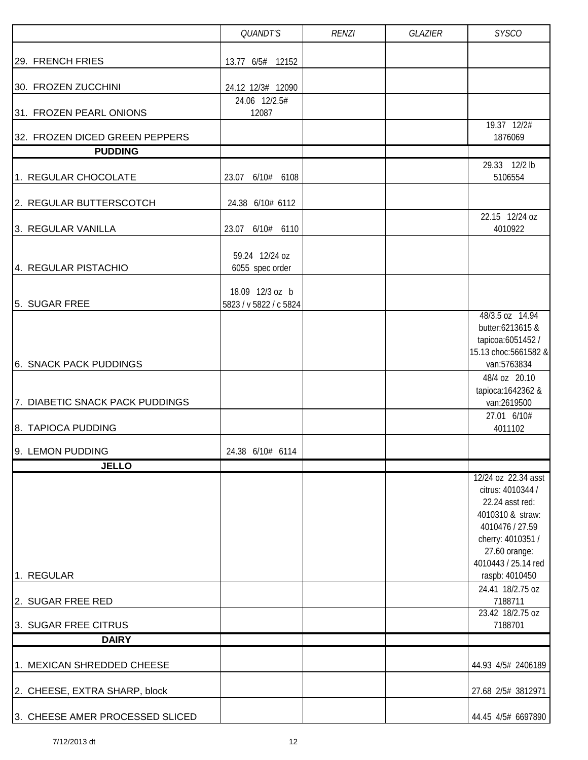|                                 | QUANDT'S                                  | <b>RENZI</b> | GLAZIER | <b>SYSCO</b>                                                                                                                                                    |
|---------------------------------|-------------------------------------------|--------------|---------|-----------------------------------------------------------------------------------------------------------------------------------------------------------------|
| 29. FRENCH FRIES                | 13.77 6/5# 12152                          |              |         |                                                                                                                                                                 |
| 30. FROZEN ZUCCHINI             | 24.12 12/3# 12090                         |              |         |                                                                                                                                                                 |
| 31. FROZEN PEARL ONIONS         | 24.06 12/2.5#<br>12087                    |              |         |                                                                                                                                                                 |
| 32. FROZEN DICED GREEN PEPPERS  |                                           |              |         | 19.37 12/2#<br>1876069                                                                                                                                          |
| <b>PUDDING</b>                  |                                           |              |         |                                                                                                                                                                 |
| 1. REGULAR CHOCOLATE            | 23.07 6/10# 6108                          |              |         | 29.33 12/2 lb<br>5106554                                                                                                                                        |
| 2. REGULAR BUTTERSCOTCH         | 24.38 6/10# 6112                          |              |         |                                                                                                                                                                 |
| 3. REGULAR VANILLA              | 23.07 6/10# 6110                          |              |         | 22.15 12/24 oz<br>4010922                                                                                                                                       |
| 4. REGULAR PISTACHIO            | 59.24 12/24 oz<br>6055 spec order         |              |         |                                                                                                                                                                 |
| 5. SUGAR FREE                   | 18.09 12/3 oz b<br>5823 / v 5822 / c 5824 |              |         |                                                                                                                                                                 |
| 6. SNACK PACK PUDDINGS          |                                           |              |         | 48/3.5 oz 14.94<br>butter:6213615 &<br>tapicoa:6051452 /<br>15.13 choc:5661582 &<br>van:5763834                                                                 |
| 7. DIABETIC SNACK PACK PUDDINGS |                                           |              |         | 48/4 oz 20.10<br>tapioca: 1642362 &<br>van:2619500                                                                                                              |
| 8. TAPIOCA PUDDING              |                                           |              |         | 27.01 6/10#<br>4011102                                                                                                                                          |
| 9. LEMON PUDDING                | 24.38 6/10# 6114                          |              |         |                                                                                                                                                                 |
| <b>JELLO</b>                    |                                           |              |         |                                                                                                                                                                 |
|                                 |                                           |              |         | 12/24 oz 22.34 asst<br>citrus: 4010344 /<br>22.24 asst red:<br>4010310 & straw:<br>4010476 / 27.59<br>cherry: 4010351 /<br>27.60 orange:<br>4010443 / 25.14 red |
| 1. REGULAR                      |                                           |              |         | raspb: 4010450<br>24.41 18/2.75 oz                                                                                                                              |
| 2. SUGAR FREE RED               |                                           |              |         | 7188711<br>23.42 18/2.75 oz                                                                                                                                     |
| 3. SUGAR FREE CITRUS            |                                           |              |         | 7188701                                                                                                                                                         |
| <b>DAIRY</b>                    |                                           |              |         |                                                                                                                                                                 |
| 1. MEXICAN SHREDDED CHEESE      |                                           |              |         | 44.93 4/5# 2406189                                                                                                                                              |
| 2. CHEESE, EXTRA SHARP, block   |                                           |              |         | 27.68 2/5# 3812971                                                                                                                                              |
| 3. CHEESE AMER PROCESSED SLICED |                                           |              |         | 44.45 4/5# 6697890                                                                                                                                              |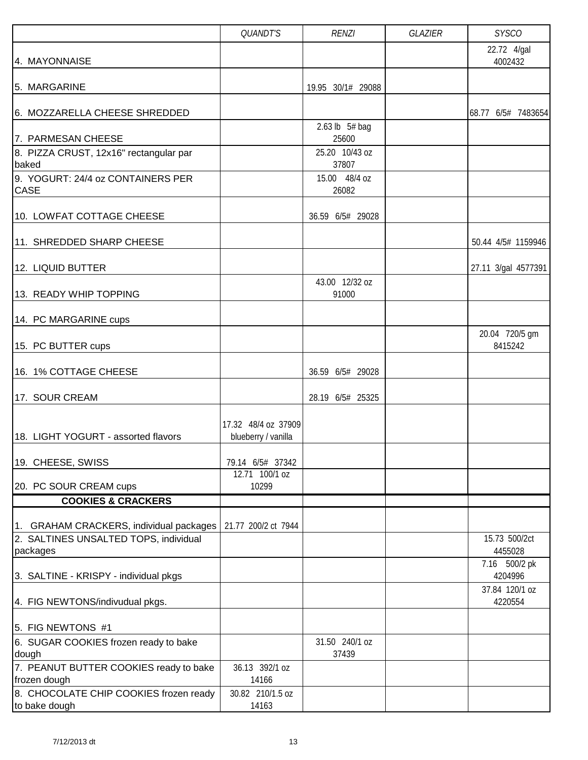|                                                         | <b>QUANDT'S</b>                            | <b>RENZI</b>            | <b>GLAZIER</b> | <b>SYSCO</b>              |
|---------------------------------------------------------|--------------------------------------------|-------------------------|----------------|---------------------------|
| 4. MAYONNAISE                                           |                                            |                         |                | 22.72 4/gal<br>4002432    |
| 5. MARGARINE                                            |                                            | 19.95 30/1# 29088       |                |                           |
| 6. MOZZARELLA CHEESE SHREDDED                           |                                            |                         |                | 68.77 6/5# 7483654        |
| 7. PARMESAN CHEESE                                      |                                            | 2.63 lb 5# bag<br>25600 |                |                           |
| 8. PIZZA CRUST, 12x16" rectangular par<br>baked         |                                            | 25.20 10/43 oz<br>37807 |                |                           |
| 9. YOGURT: 24/4 oz CONTAINERS PER<br>CASE               |                                            | 15.00 48/4 oz<br>26082  |                |                           |
| 10. LOWFAT COTTAGE CHEESE                               |                                            | 36.59 6/5# 29028        |                |                           |
| 11. SHREDDED SHARP CHEESE                               |                                            |                         |                | 50.44 4/5# 1159946        |
| 12. LIQUID BUTTER                                       |                                            |                         |                | 27.11 3/gal 4577391       |
| 13. READY WHIP TOPPING                                  |                                            | 43.00 12/32 oz<br>91000 |                |                           |
| 14. PC MARGARINE cups                                   |                                            |                         |                |                           |
| 15. PC BUTTER cups                                      |                                            |                         |                | 20.04 720/5 gm<br>8415242 |
| 16. 1% COTTAGE CHEESE                                   |                                            | 36.59 6/5# 29028        |                |                           |
| 17. SOUR CREAM                                          |                                            | 28.19 6/5# 25325        |                |                           |
| 18. LIGHT YOGURT - assorted flavors                     | 17.32 48/4 oz 37909<br>blueberry / vanilla |                         |                |                           |
| 19. CHEESE, SWISS                                       | 79.14 6/5# 37342                           |                         |                |                           |
| 20. PC SOUR CREAM cups                                  | 12.71 100/1 oz<br>10299                    |                         |                |                           |
| <b>COOKIES &amp; CRACKERS</b>                           |                                            |                         |                |                           |
| 1. GRAHAM CRACKERS, individual packages                 | 21.77 200/2 ct 7944                        |                         |                |                           |
| 2. SALTINES UNSALTED TOPS, individual<br>packages       |                                            |                         |                | 15.73 500/2ct<br>4455028  |
| 3. SALTINE - KRISPY - individual pkgs                   |                                            |                         |                | 7.16 500/2 pk<br>4204996  |
| 4. FIG NEWTONS/indivudual pkgs.                         |                                            |                         |                | 37.84 120/1 oz<br>4220554 |
| 5. FIG NEWTONS #1                                       |                                            |                         |                |                           |
| 6. SUGAR COOKIES frozen ready to bake<br>dough          |                                            | 31.50 240/1 oz<br>37439 |                |                           |
| 7. PEANUT BUTTER COOKIES ready to bake<br>frozen dough  | 36.13 392/1 oz<br>14166                    |                         |                |                           |
| 8. CHOCOLATE CHIP COOKIES frozen ready<br>to bake dough | 30.82 210/1.5 oz<br>14163                  |                         |                |                           |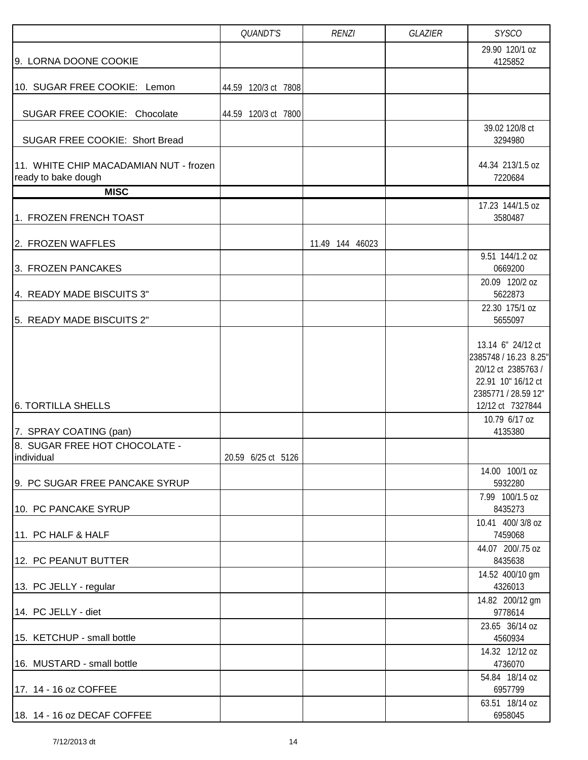|                                                               | QUANDT'S            | <b>RENZI</b>    | <b>GLAZIER</b> | <b>SYSCO</b>                                                                                                  |
|---------------------------------------------------------------|---------------------|-----------------|----------------|---------------------------------------------------------------------------------------------------------------|
| 9. LORNA DOONE COOKIE                                         |                     |                 |                | 29.90 120/1 oz<br>4125852                                                                                     |
| 10. SUGAR FREE COOKIE: Lemon                                  | 44.59 120/3 ct 7808 |                 |                |                                                                                                               |
| SUGAR FREE COOKIE: Chocolate                                  | 44.59 120/3 ct 7800 |                 |                |                                                                                                               |
| SUGAR FREE COOKIE: Short Bread                                |                     |                 |                | 39.02 120/8 ct<br>3294980                                                                                     |
| 11. WHITE CHIP MACADAMIAN NUT - frozen<br>ready to bake dough |                     |                 |                | 44.34 213/1.5 oz<br>7220684                                                                                   |
| <b>MISC</b>                                                   |                     |                 |                |                                                                                                               |
| 1. FROZEN FRENCH TOAST                                        |                     |                 |                | 17.23 144/1.5 oz<br>3580487                                                                                   |
| 2. FROZEN WAFFLES                                             |                     | 11.49 144 46023 |                |                                                                                                               |
| 3. FROZEN PANCAKES                                            |                     |                 |                | 9.51 144/1.2 oz<br>0669200                                                                                    |
| 4. READY MADE BISCUITS 3"                                     |                     |                 |                | 20.09 120/2 oz<br>5622873<br>22.30 175/1 oz                                                                   |
| 5. READY MADE BISCUITS 2"                                     |                     |                 |                | 5655097                                                                                                       |
| <b>6. TORTILLA SHELLS</b>                                     |                     |                 |                | 13.14 6" 24/12 ct<br>2385748 / 16.23 8.25"<br>20/12 ct 2385763 /<br>22.91 10" 16/12 ct<br>2385771 / 28.59 12" |
| 7. SPRAY COATING (pan)                                        |                     |                 |                | 12/12 ct 7327844<br>10.79 6/17 oz<br>4135380                                                                  |
| 8. SUGAR FREE HOT CHOCOLATE -                                 |                     |                 |                |                                                                                                               |
| individual                                                    | 20.59 6/25 ct 5126  |                 |                |                                                                                                               |
| 9. PC SUGAR FREE PANCAKE SYRUP<br>10. PC PANCAKE SYRUP        |                     |                 |                | 14.00 100/1 oz<br>5932280<br>7.99 100/1.5 oz<br>8435273                                                       |
| 11. PC HALF & HALF                                            |                     |                 |                | 10.41 400/3/8 oz<br>7459068                                                                                   |
| 12. PC PEANUT BUTTER                                          |                     |                 |                | 44.07 200/.75 oz<br>8435638                                                                                   |
| 13. PC JELLY - regular                                        |                     |                 |                | 14.52 400/10 gm<br>4326013                                                                                    |
| 14. PC JELLY - diet                                           |                     |                 |                | 14.82 200/12 gm<br>9778614                                                                                    |
| 15. KETCHUP - small bottle                                    |                     |                 |                | 23.65 36/14 oz<br>4560934                                                                                     |
| 16. MUSTARD - small bottle                                    |                     |                 |                | 14.32 12/12 oz<br>4736070                                                                                     |
| 17. 14 - 16 oz COFFEE                                         |                     |                 |                | 54.84 18/14 oz<br>6957799                                                                                     |
| 18. 14 - 16 oz DECAF COFFEE                                   |                     |                 |                | 63.51 18/14 oz<br>6958045                                                                                     |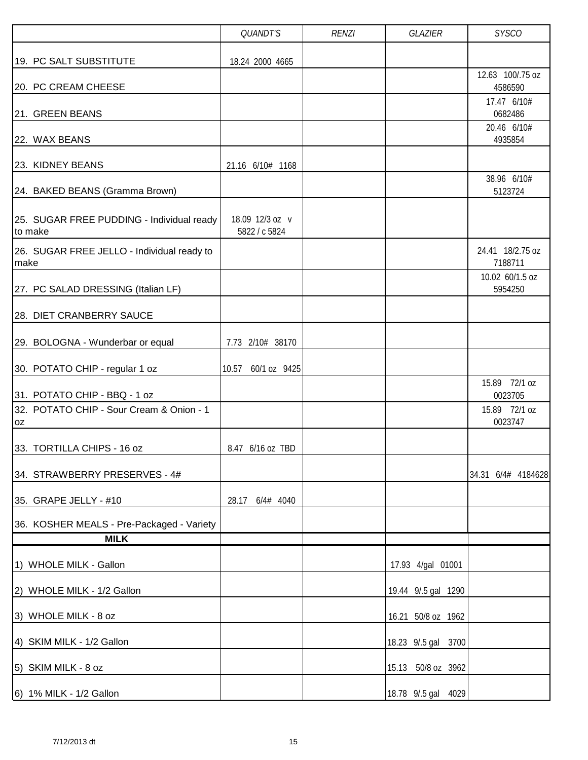|                                                                          | <b>QUANDT'S</b>                  | <b>RENZI</b> | <b>GLAZIER</b>        | <b>SYSCO</b>                |
|--------------------------------------------------------------------------|----------------------------------|--------------|-----------------------|-----------------------------|
| 19. PC SALT SUBSTITUTE                                                   | 18.24 2000 4665                  |              |                       | 12.63 100/.75 oz            |
| 20. PC CREAM CHEESE                                                      |                                  |              |                       | 4586590<br>17.47 6/10#      |
| 21. GREEN BEANS                                                          |                                  |              |                       | 0682486                     |
| 22. WAX BEANS                                                            |                                  |              |                       | 20.46 6/10#<br>4935854      |
| 23. KIDNEY BEANS                                                         | 21.16 6/10# 1168                 |              |                       |                             |
| 24. BAKED BEANS (Gramma Brown)                                           |                                  |              |                       | 38.96 6/10#<br>5123724      |
| 25. SUGAR FREE PUDDING - Individual ready<br>to make                     | 18.09 12/3 oz v<br>5822 / c 5824 |              |                       |                             |
| 26. SUGAR FREE JELLO - Individual ready to<br>make                       |                                  |              |                       | 24.41 18/2.75 oz<br>7188711 |
| 27. PC SALAD DRESSING (Italian LF)                                       |                                  |              |                       | 10.02 60/1.5 oz<br>5954250  |
| 28. DIET CRANBERRY SAUCE                                                 |                                  |              |                       |                             |
| 29. BOLOGNA - Wunderbar or equal                                         | 7.73 2/10# 38170                 |              |                       |                             |
| 30. POTATO CHIP - regular 1 oz                                           | 10.57 60/1 oz 9425               |              |                       | 15.89 72/1 oz               |
| 31. POTATO CHIP - BBQ - 1 oz<br>32. POTATO CHIP - Sour Cream & Onion - 1 |                                  |              |                       | 0023705<br>15.89 72/1 oz    |
| lOZ                                                                      |                                  |              |                       | 0023747                     |
| 33. TORTILLA CHIPS - 16 oz                                               | 8.47 6/16 oz TBD                 |              |                       |                             |
| 34. STRAWBERRY PRESERVES - 4#                                            |                                  |              |                       | 34.31 6/4# 4184628          |
| 35. GRAPE JELLY - #10                                                    | 28.17 6/4# 4040                  |              |                       |                             |
| 36. KOSHER MEALS - Pre-Packaged - Variety                                |                                  |              |                       |                             |
| <b>MILK</b>                                                              |                                  |              |                       |                             |
| 1) WHOLE MILK - Gallon                                                   |                                  |              | 17.93 4/gal 01001     |                             |
| 2) WHOLE MILK - 1/2 Gallon                                               |                                  |              | 19.44 9/.5 gal 1290   |                             |
| 3) WHOLE MILK - 8 oz                                                     |                                  |              | 16.21 50/8 oz 1962    |                             |
| 4) SKIM MILK - 1/2 Gallon                                                |                                  |              | 18.23 9/.5 gal 3700   |                             |
| 5) SKIM MILK - 8 oz                                                      |                                  |              | 50/8 oz 3962<br>15.13 |                             |
| 6) 1% MILK - 1/2 Gallon                                                  |                                  |              | 18.78 9/.5 gal 4029   |                             |